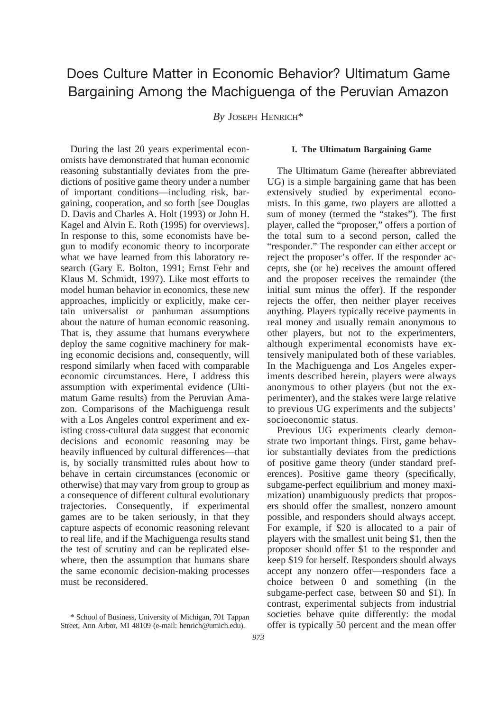# Does Culture Matter in Economic Behavior? Ultimatum Game Bargaining Among the Machiguenga of the Peruvian Amazon

*By* JOSEPH HENRICH\*

During the last 20 years experimental economists have demonstrated that human economic reasoning substantially deviates from the predictions of positive game theory under a number of important conditions—including risk, bargaining, cooperation, and so forth [see Douglas D. Davis and Charles A. Holt (1993) or John H. Kagel and Alvin E. Roth (1995) for overviews]. In response to this, some economists have begun to modify economic theory to incorporate what we have learned from this laboratory research (Gary E. Bolton, 1991; Ernst Fehr and Klaus M. Schmidt, 1997). Like most efforts to model human behavior in economics, these new approaches, implicitly or explicitly, make certain universalist or panhuman assumptions about the nature of human economic reasoning. That is, they assume that humans everywhere deploy the same cognitive machinery for making economic decisions and, consequently, will respond similarly when faced with comparable economic circumstances. Here, I address this assumption with experimental evidence (Ultimatum Game results) from the Peruvian Amazon. Comparisons of the Machiguenga result with a Los Angeles control experiment and existing cross-cultural data suggest that economic decisions and economic reasoning may be heavily influenced by cultural differences—that is, by socially transmitted rules about how to behave in certain circumstances (economic or otherwise) that may vary from group to group as a consequence of different cultural evolutionary trajectories. Consequently, if experimental games are to be taken seriously, in that they capture aspects of economic reasoning relevant to real life, and if the Machiguenga results stand the test of scrutiny and can be replicated elsewhere, then the assumption that humans share the same economic decision-making processes must be reconsidered.

### **I. The Ultimatum Bargaining Game**

The Ultimatum Game (hereafter abbreviated UG) is a simple bargaining game that has been extensively studied by experimental economists. In this game, two players are allotted a sum of money (termed the "stakes"). The first player, called the "proposer," offers a portion of the total sum to a second person, called the "responder." The responder can either accept or reject the proposer's offer. If the responder accepts, she (or he) receives the amount offered and the proposer receives the remainder (the initial sum minus the offer). If the responder rejects the offer, then neither player receives anything. Players typically receive payments in real money and usually remain anonymous to other players, but not to the experimenters, although experimental economists have extensively manipulated both of these variables. In the Machiguenga and Los Angeles experiments described herein, players were always anonymous to other players (but not the experimenter), and the stakes were large relative to previous UG experiments and the subjects' socioeconomic status.

Previous UG experiments clearly demonstrate two important things. First, game behavior substantially deviates from the predictions of positive game theory (under standard preferences). Positive game theory (specifically, subgame-perfect equilibrium and money maximization) unambiguously predicts that proposers should offer the smallest, nonzero amount possible, and responders should always accept. For example, if \$20 is allocated to a pair of players with the smallest unit being \$1, then the proposer should offer \$1 to the responder and keep \$19 for herself. Responders should always accept any nonzero offer—responders face a choice between 0 and something (in the subgame-perfect case, between \$0 and \$1). In contrast, experimental subjects from industrial societies behave quite differently: the modal offer is typically  $50$  percent and the mean offer

<sup>\*</sup> School of Business, University of Michigan, 701 Tappan Street, Ann Arbor, MI 48109 (e-mail: henrich@umich.edu).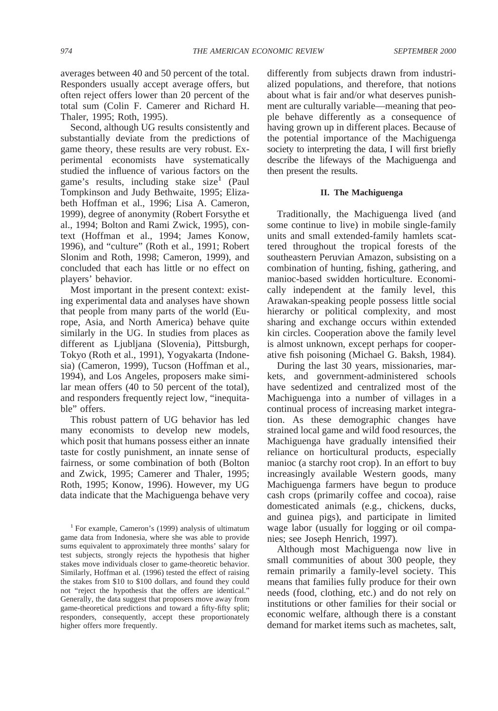averages between 40 and 50 percent of the total. Responders usually accept average offers, but often reject offers lower than 20 percent of the total sum (Colin F. Camerer and Richard H. Thaler, 1995; Roth, 1995).

Second, although UG results consistently and substantially deviate from the predictions of game theory, these results are very robust. Experimental economists have systematically studied the influence of various factors on the game's results, including stake size<sup>1</sup> (Paul Tompkinson and Judy Bethwaite, 1995; Elizabeth Hoffman et al., 1996; Lisa A. Cameron, 1999), degree of anonymity (Robert Forsythe et al., 1994; Bolton and Rami Zwick, 1995), context (Hoffman et al., 1994; James Konow, 1996), and "culture" (Roth et al., 1991; Robert Slonim and Roth, 1998; Cameron, 1999), and concluded that each has little or no effect on players' behavior.

Most important in the present context: existing experimental data and analyses have shown that people from many parts of the world (Europe, Asia, and North America) behave quite similarly in the UG. In studies from places as different as Ljubljana (Slovenia), Pittsburgh, Tokyo (Roth et al., 1991), Yogyakarta (Indonesia) (Cameron, 1999), Tucson (Hoffman et al., 1994), and Los Angeles, proposers make similar mean offers (40 to 50 percent of the total), and responders frequently reject low, "inequitable" offers.

This robust pattern of UG behavior has led many economists to develop new models, which posit that humans possess either an innate taste for costly punishment, an innate sense of fairness, or some combination of both (Bolton and Zwick, 1995; Camerer and Thaler, 1995; Roth, 1995; Konow, 1996). However, my UG data indicate that the Machiguenga behave very

differently from subjects drawn from industrialized populations, and therefore, that notions about what is fair and/or what deserves punishment are culturally variable—meaning that people behave differently as a consequence of having grown up in different places. Because of the potential importance of the Machiguenga society to interpreting the data, I will first briefly describe the lifeways of the Machiguenga and then present the results.

#### **II. The Machiguenga**

Traditionally, the Machiguenga lived (and some continue to live) in mobile single-family units and small extended-family hamlets scattered throughout the tropical forests of the southeastern Peruvian Amazon, subsisting on a combination of hunting, fishing, gathering, and manioc-based swidden horticulture. Economically independent at the family level, this Arawakan-speaking people possess little social hierarchy or political complexity, and most sharing and exchange occurs within extended kin circles. Cooperation above the family level is almost unknown, except perhaps for cooperative fish poisoning (Michael G. Baksh, 1984).

During the last 30 years, missionaries, markets, and government-administered schools have sedentized and centralized most of the Machiguenga into a number of villages in a continual process of increasing market integration. As these demographic changes have strained local game and wild food resources, the Machiguenga have gradually intensified their reliance on horticultural products, especially manioc (a starchy root crop). In an effort to buy increasingly available Western goods, many Machiguenga farmers have begun to produce cash crops (primarily coffee and cocoa), raise domesticated animals (e.g., chickens, ducks, and guinea pigs), and participate in limited wage labor (usually for logging or oil companies; see Joseph Henrich, 1997).

Although most Machiguenga now live in small communities of about 300 people, they remain primarily a family-level society. This means that families fully produce for their own needs (food, clothing, etc.) and do not rely on institutions or other families for their social or economic welfare, although there is a constant demand for market items such as machetes, salt,

<sup>&</sup>lt;sup>1</sup> For example, Cameron's (1999) analysis of ultimatum game data from Indonesia, where she was able to provide sums equivalent to approximately three months' salary for test subjects, strongly rejects the hypothesis that higher stakes move individuals closer to game-theoretic behavior. Similarly, Hoffman et al. (1996) tested the effect of raising the stakes from \$10 to \$100 dollars, and found they could not "reject the hypothesis that the offers are identical." Generally, the data suggest that proposers move away from game-theoretical predictions and toward a fifty-fifty split; responders, consequently, accept these proportionately higher offers more frequently.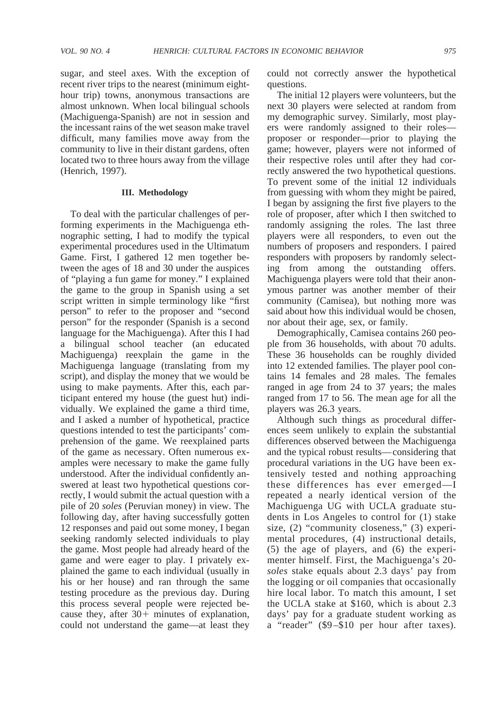sugar, and steel axes. With the exception of recent river trips to the nearest (minimum eighthour trip) towns, anonymous transactions are almost unknown. When local bilingual schools (Machiguenga-Spanish) are not in session and the incessant rains of the wet season make travel difficult, many families move away from the community to live in their distant gardens, often located two to three hours away from the village (Henrich, 1997).

#### **III. Methodology**

To deal with the particular challenges of performing experiments in the Machiguenga ethnographic setting, I had to modify the typical experimental procedures used in the Ultimatum Game. First, I gathered 12 men together between the ages of 18 and 30 under the auspices of "playing a fun game for money." I explained the game to the group in Spanish using a set script written in simple terminology like "first person" to refer to the proposer and "second person" for the responder (Spanish is a second language for the Machiguenga). After this I had a bilingual school teacher (an educated Machiguenga) reexplain the game in the Machiguenga language (translating from my script), and display the money that we would be using to make payments. After this, each participant entered my house (the guest hut) individually. We explained the game a third time, and I asked a number of hypothetical, practice questions intended to test the participants' comprehension of the game. We reexplained parts of the game as necessary. Often numerous examples were necessary to make the game fully understood. After the individual confidently answered at least two hypothetical questions correctly, I would submit the actual question with a pile of 20 *soles* (Peruvian money) in view. The following day, after having successfully gotten 12 responses and paid out some money, I began seeking randomly selected individuals to play the game. Most people had already heard of the game and were eager to play. I privately explained the game to each individual (usually in his or her house) and ran through the same testing procedure as the previous day. During this process several people were rejected because they, after  $30+$  minutes of explanation, could not understand the game—at least they could not correctly answer the hypothetical questions.

The initial 12 players were volunteers, but the next 30 players were selected at random from my demographic survey. Similarly, most players were randomly assigned to their roles proposer or responder—prior to playing the game; however, players were not informed of their respective roles until after they had correctly answered the two hypothetical questions. To prevent some of the initial 12 individuals from guessing with whom they might be paired, I began by assigning the first five players to the role of proposer, after which I then switched to randomly assigning the roles. The last three players were all responders, to even out the numbers of proposers and responders. I paired responders with proposers by randomly selecting from among the outstanding offers. Machiguenga players were told that their anonymous partner was another member of their community (Camisea), but nothing more was said about how this individual would be chosen, nor about their age, sex, or family.

Demographically, Camisea contains 260 people from 36 households, with about 70 adults. These 36 households can be roughly divided into 12 extended families. The player pool contains 14 females and 28 males. The females ranged in age from 24 to 37 years; the males ranged from 17 to 56. The mean age for all the players was 26.3 years.

Although such things as procedural differences seem unlikely to explain the substantial differences observed between the Machiguenga and the typical robust results—considering that procedural variations in the UG have been extensively tested and nothing approaching these differences has ever emerged—I repeated a nearly identical version of the Machiguenga UG with UCLA graduate students in Los Angeles to control for (1) stake size, (2) "community closeness," (3) experimental procedures, (4) instructional details, (5) the age of players, and (6) the experimenter himself. First, the Machiguenga's 20 *soles* stake equals about 2.3 days' pay from the logging or oil companies that occasionally hire local labor. To match this amount, I set the UCLA stake at \$160, which is about 2.3 days' pay for a graduate student working as a "reader" (\$9–\$10 per hour after taxes).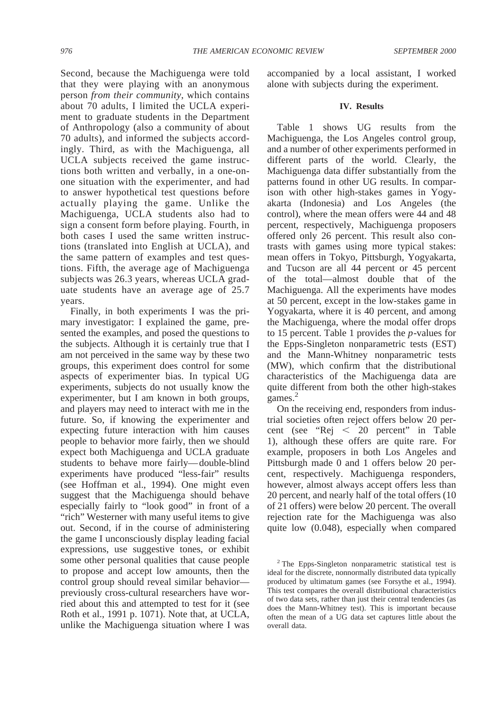Second, because the Machiguenga were told that they were playing with an anonymous person *from their community*, which contains about 70 adults, I limited the UCLA experiment to graduate students in the Department of Anthropology (also a community of about 70 adults), and informed the subjects accordingly. Third, as with the Machiguenga, all UCLA subjects received the game instructions both written and verbally, in a one-onone situation with the experimenter, and had to answer hypothetical test questions before actually playing the game. Unlike the Machiguenga, UCLA students also had to sign a consent form before playing. Fourth, in both cases I used the same written instructions (translated into English at UCLA), and the same pattern of examples and test questions. Fifth, the average age of Machiguenga subjects was 26.3 years, whereas UCLA graduate students have an average age of 25.7 years.

Finally, in both experiments I was the primary investigator: I explained the game, presented the examples, and posed the questions to the subjects. Although it is certainly true that I am not perceived in the same way by these two groups, this experiment does control for some aspects of experimenter bias. In typical UG experiments, subjects do not usually know the experimenter, but I am known in both groups, and players may need to interact with me in the future. So, if knowing the experimenter and expecting future interaction with him causes people to behavior more fairly, then we should expect both Machiguenga and UCLA graduate students to behave more fairly—double-blind experiments have produced "less-fair" results (see Hoffman et al., 1994). One might even suggest that the Machiguenga should behave especially fairly to "look good" in front of a "rich" Westerner with many useful items to give out. Second, if in the course of administering the game I unconsciously display leading facial expressions, use suggestive tones, or exhibit some other personal qualities that cause people to propose and accept low amounts, then the control group should reveal similar behavior previously cross-cultural researchers have worried about this and attempted to test for it (see Roth et al., 1991 p. 1071). Note that, at UCLA, unlike the Machiguenga situation where I was

accompanied by a local assistant, I worked alone with subjects during the experiment.

## **IV. Results**

Table 1 shows UG results from the Machiguenga, the Los Angeles control group, and a number of other experiments performed in different parts of the world. Clearly, the Machiguenga data differ substantially from the patterns found in other UG results. In comparison with other high-stakes games in Yogyakarta (Indonesia) and Los Angeles (the control), where the mean offers were 44 and 48 percent, respectively, Machiguenga proposers offered only 26 percent. This result also contrasts with games using more typical stakes: mean offers in Tokyo, Pittsburgh, Yogyakarta, and Tucson are all 44 percent or 45 percent of the total—almost double that of the Machiguenga. All the experiments have modes at 50 percent, except in the low-stakes game in Yogyakarta, where it is 40 percent, and among the Machiguenga, where the modal offer drops to 15 percent. Table 1 provides the *p*-values for the Epps-Singleton nonparametric tests (EST) and the Mann-Whitney nonparametric tests (MW), which confirm that the distributional characteristics of the Machiguenga data are quite different from both the other high-stakes games.<sup>2</sup>

On the receiving end, responders from industrial societies often reject offers below 20 percent (see "Rej  $\lt$  20 percent" in Table 1), although these offers are quite rare. For example, proposers in both Los Angeles and Pittsburgh made 0 and 1 offers below 20 percent, respectively. Machiguenga responders, however, almost always accept offers less than 20 percent, and nearly half of the total offers (10 of 21 offers) were below 20 percent. The overall rejection rate for the Machiguenga was also quite low (0.048), especially when compared

<sup>&</sup>lt;sup>2</sup> The Epps-Singleton nonparametric statistical test is ideal for the discrete, nonnormally distributed data typically produced by ultimatum games (see Forsythe et al., 1994). This test compares the overall distributional characteristics of two data sets, rather than just their central tendencies (as does the Mann-Whitney test). This is important because often the mean of a UG data set captures little about the overall data.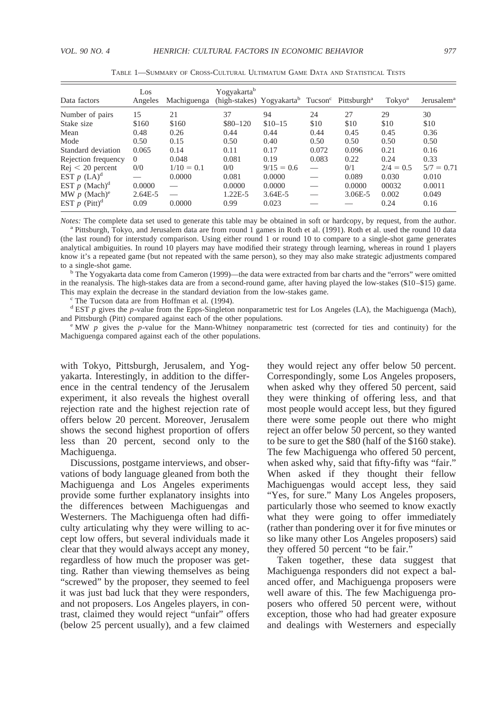| Data factors                | Los<br>Angeles | Machiguenga  | Yogyakarta <sup>b</sup> | (high-stakes) Yogyakarta <sup>b</sup> Tucson <sup>c</sup> Pittsburgh <sup>a</sup> |                          |         | Tokyo <sup>a</sup> | Jerusalem <sup>a</sup> |
|-----------------------------|----------------|--------------|-------------------------|-----------------------------------------------------------------------------------|--------------------------|---------|--------------------|------------------------|
| Number of pairs             | 15             | 21           | 37                      | 94                                                                                | 24                       | 27      | 29                 | 30                     |
| Stake size                  | \$160          | \$160        | $$80-120$               | $$10-15$                                                                          | \$10                     | \$10    | \$10               | \$10                   |
| Mean                        | 0.48           | 0.26         | 0.44                    | 0.44                                                                              | 0.44                     | 0.45    | 0.45               | 0.36                   |
| Mode                        | 0.50           | 0.15         | 0.50                    | 0.40                                                                              | 0.50                     | 0.50    | 0.50               | 0.50                   |
| Standard deviation          | 0.065          | 0.14         | 0.11                    | 0.17                                                                              | 0.072                    | 0.096   | 0.21               | 0.16                   |
| Rejection frequency         | $\Omega$       | 0.048        | 0.081                   | 0.19                                                                              | 0.083                    | 0.22    | 0.24               | 0.33                   |
| $Rej < 20$ percent          | 0/0            | $1/10 = 0.1$ | 0/0                     | $9/15 = 0.6$                                                                      |                          | 0/1     | $2/4 = 0.5$        | $5/7 = 0.71$           |
| EST $p(LA)^d$               |                | 0.0000       | 0.081                   | 0.0000                                                                            | $\overline{\phantom{0}}$ | 0.089   | 0.030              | 0.010                  |
| EST $p$ (Mach) <sup>d</sup> | 0.0000         |              | 0.0000                  | 0.0000                                                                            |                          | 0.0000  | 00032              | 0.0011                 |
| MW $p$ (Mach) <sup>e</sup>  | $2.64E - 5$    |              | 1.22E-5                 | 3.64E-5                                                                           |                          | 3.06E-5 | 0.002              | 0.049                  |
| EST $p$ (Pitt) <sup>d</sup> | 0.09           | 0.0000       | 0.99                    | 0.023                                                                             |                          |         | 0.24               | 0.16                   |

TABLE 1—SUMMARY OF CROSS-CULTURAL ULTIMATUM GAME DATA AND STATISTICAL TESTS

*Notes:* The complete data set used to generate this table may be obtained in soft or hardcopy, by request, from the author.<br><sup>a</sup> Pittsburgh, Tokyo, and Jerusalem data are from round 1 games in Roth et al. (1991). Roth et a (the last round) for interstudy comparison. Using either round 1 or round 10 to compare to a single-shot game generates analytical ambiguities. In round 10 players may have modified their strategy through learning, whereas in round 1 players know it's a repeated game (but not repeated with the same person), so they may also make strategic adjustments compared

to a single-shot game.<br><sup>b</sup> The Yogyakarta data come from Cameron (1999)—the data were extracted from bar charts and the "errors" were omitted in the reanalysis. The high-stakes data are from a second-round game, after having played the low-stakes (\$10–\$15) game. This may explain the decrease in the standard deviation from the low-stakes game. <sup>c</sup> The Tucson data are from Hoffman et al. (1994).

 $d$  EST *p* gives the *p*-value from the Epps-Singleton nonparametric test for Los Angeles (LA), the Machiguenga (Mach), and Pittsburgh (Pitt) compared against each of the other populations.<br><sup>e</sup> MW *p* gives the *p*-value for the Mann-Whitney nonparametric test (corrected for ties and continuity) for the

Machiguenga compared against each of the other populations.

with Tokyo, Pittsburgh, Jerusalem, and Yogyakarta. Interestingly, in addition to the difference in the central tendency of the Jerusalem experiment, it also reveals the highest overall rejection rate and the highest rejection rate of offers below 20 percent. Moreover, Jerusalem shows the second highest proportion of offers less than 20 percent, second only to the Machiguenga.

Discussions, postgame interviews, and observations of body language gleaned from both the Machiguenga and Los Angeles experiments provide some further explanatory insights into the differences between Machiguengas and Westerners. The Machiguenga often had difficulty articulating why they were willing to accept low offers, but several individuals made it clear that they would always accept any money, regardless of how much the proposer was getting. Rather than viewing themselves as being "screwed" by the proposer, they seemed to feel it was just bad luck that they were responders, and not proposers. Los Angeles players, in contrast, claimed they would reject "unfair" offers (below 25 percent usually), and a few claimed they would reject any offer below 50 percent. Correspondingly, some Los Angeles proposers, when asked why they offered 50 percent, said they were thinking of offering less, and that most people would accept less, but they figured there were some people out there who might reject an offer below 50 percent, so they wanted to be sure to get the \$80 (half of the \$160 stake). The few Machiguenga who offered 50 percent, when asked why, said that fifty-fifty was "fair." When asked if they thought their fellow Machiguengas would accept less, they said "Yes, for sure." Many Los Angeles proposers, particularly those who seemed to know exactly what they were going to offer immediately (rather than pondering over it for five minutes or so like many other Los Angeles proposers) said they offered 50 percent "to be fair."

Taken together, these data suggest that Machiguenga responders did not expect a balanced offer, and Machiguenga proposers were well aware of this. The few Machiguenga proposers who offered 50 percent were, without exception, those who had had greater exposure and dealings with Westerners and especially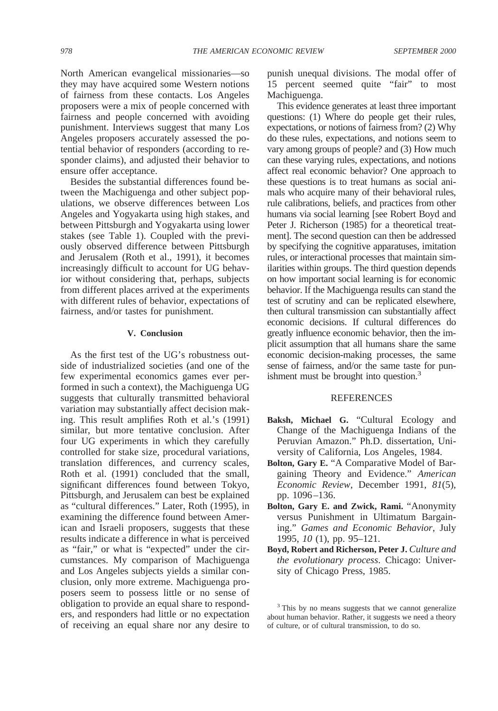North American evangelical missionaries—so they may have acquired some Western notions of fairness from these contacts. Los Angeles proposers were a mix of people concerned with fairness and people concerned with avoiding punishment. Interviews suggest that many Los Angeles proposers accurately assessed the potential behavior of responders (according to responder claims), and adjusted their behavior to ensure offer acceptance.

Besides the substantial differences found between the Machiguenga and other subject populations, we observe differences between Los Angeles and Yogyakarta using high stakes, and between Pittsburgh and Yogyakarta using lower stakes (see Table 1). Coupled with the previously observed difference between Pittsburgh and Jerusalem (Roth et al., 1991), it becomes increasingly difficult to account for UG behavior without considering that, perhaps, subjects from different places arrived at the experiments with different rules of behavior, expectations of fairness, and/or tastes for punishment.

#### **V. Conclusion**

As the first test of the UG's robustness outside of industrialized societies (and one of the few experimental economics games ever performed in such a context), the Machiguenga UG suggests that culturally transmitted behavioral variation may substantially affect decision making. This result amplifies Roth et al.'s (1991) similar, but more tentative conclusion. After four UG experiments in which they carefully controlled for stake size, procedural variations, translation differences, and currency scales, Roth et al. (1991) concluded that the small, significant differences found between Tokyo, Pittsburgh, and Jerusalem can best be explained as "cultural differences." Later, Roth (1995), in examining the difference found between American and Israeli proposers, suggests that these results indicate a difference in what is perceived as "fair," or what is "expected" under the circumstances. My comparison of Machiguenga and Los Angeles subjects yields a similar conclusion, only more extreme. Machiguenga proposers seem to possess little or no sense of obligation to provide an equal share to responders, and responders had little or no expectation of receiving an equal share nor any desire to punish unequal divisions. The modal offer of 15 percent seemed quite "fair" to most Machiguenga.

This evidence generates at least three important questions: (1) Where do people get their rules, expectations, or notions of fairness from? (2) Why do these rules, expectations, and notions seem to vary among groups of people? and (3) How much can these varying rules, expectations, and notions affect real economic behavior? One approach to these questions is to treat humans as social animals who acquire many of their behavioral rules, rule calibrations, beliefs, and practices from other humans via social learning [see Robert Boyd and Peter J. Richerson (1985) for a theoretical treatment]. The second question can then be addressed by specifying the cognitive apparatuses, imitation rules, or interactional processes that maintain similarities within groups. The third question depends on how important social learning is for economic behavior. If the Machiguenga results can stand the test of scrutiny and can be replicated elsewhere, then cultural transmission can substantially affect economic decisions. If cultural differences do greatly influence economic behavior, then the implicit assumption that all humans share the same economic decision-making processes, the same sense of fairness, and/or the same taste for punishment must be brought into question.<sup>3</sup>

# **REFERENCES**

- **Baksh, Michael G.** "Cultural Ecology and Change of the Machiguenga Indians of the Peruvian Amazon." Ph.D. dissertation, University of California, Los Angeles, 1984.
- **Bolton, Gary E.** "A Comparative Model of Bargaining Theory and Evidence." *American Economic Review*, December 1991, *81*(5), pp. 1096–136.
- **Bolton, Gary E. and Zwick, Rami.** "Anonymity versus Punishment in Ultimatum Bargaining." *Games and Economic Behavior*, July 1995, *10* (1), pp. 95–121.
- **Boyd, Robert and Richerson, Peter J.** *Culture and the evolutionary process*. Chicago: University of Chicago Press, 1985.

<sup>&</sup>lt;sup>3</sup> This by no means suggests that we cannot generalize about human behavior. Rather, it suggests we need a theory of culture, or of cultural transmission, to do so.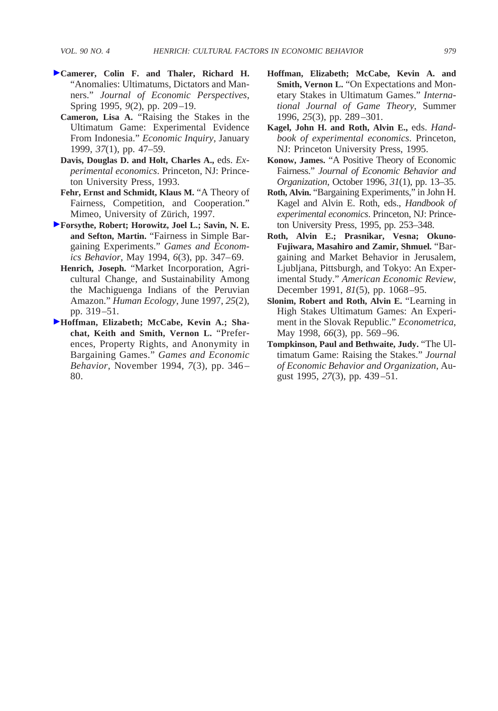- **[C](http://pubs.aeaweb.org/action/showLinks?system=10.1257%2Fjep.9.2.209)amerer, Colin F. and Thaler, Richard H.** "Anomalies: Ultimatums, Dictators and Manners." *Journal of Economic Perspectives*, Spring 1995, *9*(2), pp. 209–19.
	- **Cameron, Lisa A.** "Raising the Stakes in the Ultimatum Game: Experimental Evidence From Indonesia." *Economic Inquiry*, January 1999, *37*(1), pp. 47–59.
	- **Davis, Douglas D. and Holt, Charles A.,** eds. *Experimental economics*. Princeton, NJ: Princeton University Press, 1993.
	- **Fehr, Ernst and Schmidt, Klaus M.** "A Theory of Fairness, Competition, and Cooperation." Mimeo, University of Zürich, 1997.
- **[F](http://pubs.aeaweb.org/action/showLinks?crossref=10.1006%2Fgame.1994.1021)orsythe, Robert; Horowitz, Joel L.; Savin, N. E. and Sefton, Martin.** "Fairness in Simple Bargaining Experiments." *Games and Economics Behavior*, May 1994, *6*(3), pp. 347–69.
	- **Henrich, Joseph.** "Market Incorporation, Agricultural Change, and Sustainability Among the Machiguenga Indians of the Peruvian Amazon." *Human Ecology*, June 1997, *25*(2), pp. 319–51.
- **[H](http://pubs.aeaweb.org/action/showLinks?crossref=10.1006%2Fgame.1994.1056)offman, Elizabeth; McCabe, Kevin A.; Shachat, Keith and Smith, Vernon L.** "Preferences, Property Rights, and Anonymity in Bargaining Games." *Games and Economic Behavior*, November 1994, *7*(3), pp. 346– 80.
- **Hoffman, Elizabeth; McCabe, Kevin A. and Smith, Vernon L.** "On Expectations and Monetary Stakes in Ultimatum Games." *International Journal of Game Theory*, Summer 1996, *25*(3), pp. 289–301.
- **Kagel, John H. and Roth, Alvin E.,** eds. *Handbook of experimental economics*. Princeton, NJ: Princeton University Press, 1995.
- **Konow, James.** "A Positive Theory of Economic Fairness." *Journal of Economic Behavior and Organization*, October 1996, *31*(1), pp. 13–35.
- **Roth, Alvin.** "Bargaining Experiments," in John H. Kagel and Alvin E. Roth, eds., *Handbook of experimental economics*. Princeton, NJ: Princeton University Press, 1995, pp. 253–348.
- **Roth, Alvin E.; Prasnikar, Vesna; Okuno-Fujiwara, Masahiro and Zamir, Shmuel.** "Bargaining and Market Behavior in Jerusalem, Ljubljana, Pittsburgh, and Tokyo: An Experimental Study." *American Economic Review*, December 1991, *81*(5), pp. 1068–95.
- **Slonim, Robert and Roth, Alvin E.** "Learning in High Stakes Ultimatum Games: An Experiment in the Slovak Republic." *Econometrica*, May 1998, *66*(3), pp. 569–96.
- **Tompkinson, Paul and Bethwaite, Judy.** "The Ultimatum Game: Raising the Stakes." *Journal of Economic Behavior and Organization*, August 1995, *27*(3), pp. 439–51.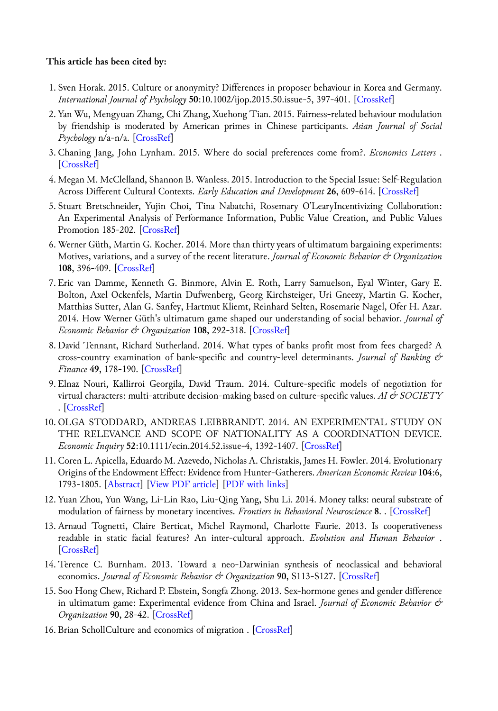# **This article has been cited by:**

- 1. Sven Horak. 2015. Culture or anonymity? Differences in proposer behaviour in Korea and Germany. *International Journal of Psychology* **50**:10.1002/ijop.2015.50.issue-5, 397-401. [\[CrossRef](http://dx.doi.org/10.1002/ijop.12142)]
- 2. Yan Wu, Mengyuan Zhang, Chi Zhang, Xuehong Tian. 2015. Fairness-related behaviour modulation by friendship is moderated by American primes in Chinese participants. *Asian Journal of Social Psychology* n/a-n/a. [\[CrossRef](http://dx.doi.org/10.1111/ajsp.12111)]
- 3. Chaning Jang, John Lynham. 2015. Where do social preferences come from?. *Economics Letters* . [\[CrossRef](http://dx.doi.org/10.1016/j.econlet.2015.09.004)]
- 4. Megan M. McClelland, Shannon B. Wanless. 2015. Introduction to the Special Issue: Self-Regulation Across Different Cultural Contexts. *Early Education and Development* **26**, 609-614. [\[CrossRef](http://dx.doi.org/10.1080/10409289.2015.1039436)]
- 5. Stuart Bretschneider, Yujin Choi, Tina Nabatchi, Rosemary O'LearyIncentivizing Collaboration: An Experimental Analysis of Performance Information, Public Value Creation, and Public Values Promotion 185-202. [[CrossRef\]](http://dx.doi.org/10.1201/b18116-14)
- 6. Werner Güth, Martin G. Kocher. 2014. More than thirty years of ultimatum bargaining experiments: Motives, variations, and a survey of the recent literature. *Journal of Economic Behavior & Organization* **108**, 396-409. [[CrossRef\]](http://dx.doi.org/10.1016/j.jebo.2014.06.006)
- 7. Eric van Damme, Kenneth G. Binmore, Alvin E. Roth, Larry Samuelson, Eyal Winter, Gary E. Bolton, Axel Ockenfels, Martin Dufwenberg, Georg Kirchsteiger, Uri Gneezy, Martin G. Kocher, Matthias Sutter, Alan G. Sanfey, Hartmut Kliemt, Reinhard Selten, Rosemarie Nagel, Ofer H. Azar. 2014. How Werner Güth's ultimatum game shaped our understanding of social behavior. *Journal of Economic Behavior & Organization* **108**, 292-318. [\[CrossRef](http://dx.doi.org/10.1016/j.jebo.2014.10.014)]
- 8.David Tennant, Richard Sutherland. 2014. What types of banks profit most from fees charged? A cross-country examination of bank-specific and country-level determinants. *Journal of Banking & Finance* **49**, 178-190. [\[CrossRef](http://dx.doi.org/10.1016/j.jbankfin.2014.08.023)]
- 9. Elnaz Nouri, Kallirroi Georgila, David Traum. 2014. Culture-specific models of negotiation for virtual characters: multi-attribute decision-making based on culture-specific values. *AI & SOCIETY* . [\[CrossRef](http://dx.doi.org/10.1007/s00146-014-0570-7)]
- 10. OLGA STODDARD, ANDREAS LEIBBRANDT. 2014. AN EXPERIMENTAL STUDY ON THE RELEVANCE AND SCOPE OF NATIONALITY AS A COORDINATION DEVICE. *Economic Inquiry* **52**:10.1111/ecin.2014.52.issue-4, 1392-1407. [\[CrossRef](http://dx.doi.org/10.1111/ecin.12097)]
- 11. Coren L. Apicella, Eduardo M. Azevedo, Nicholas A. Christakis, James H. Fowler. 2014. Evolutionary Origins of the Endowment Effect: Evidence from Hunter-Gatherers. *American Economic Review* **104**:6, 1793-1805. [[Abstract\]](http://dx.doi.org/10.1257/aer.104.6.1793) [[View PDF article\]](http://pubs.aeaweb.org/doi/pdf/10.1257/aer.104.6.1793) [\[PDF with links\]](http://pubs.aeaweb.org/doi/pdfplus/10.1257/aer.104.6.1793)
- 12. Yuan Zhou, Yun Wang, Li-Lin Rao, Liu-Qing Yang, Shu Li. 2014. Money talks: neural substrate of modulation of fairness by monetary incentives. *Frontiers in Behavioral Neuroscience* **8**. . [[CrossRef\]](http://dx.doi.org/10.3389/fnbeh.2014.00150)
- 13. Arnaud Tognetti, Claire Berticat, Michel Raymond, Charlotte Faurie. 2013. Is cooperativeness readable in static facial features? An inter-cultural approach. *Evolution and Human Behavior* . [\[CrossRef](http://dx.doi.org/10.1016/j.evolhumbehav.2013.08.002)]
- 14. Terence C. Burnham. 2013. Toward a neo-Darwinian synthesis of neoclassical and behavioral economics. *Journal of Economic Behavior & Organization* **90**, S113-S127. [[CrossRef\]](http://dx.doi.org/10.1016/j.jebo.2012.12.015)
- 15. Soo Hong Chew, Richard P. Ebstein, Songfa Zhong. 2013. Sex-hormone genes and gender difference in ultimatum game: Experimental evidence from China and Israel. *Journal of Economic Behavior & Organization* **90**, 28-42. [\[CrossRef](http://dx.doi.org/10.1016/j.jebo.2013.03.008)]
- 16. Brian SchollCulture and economics of migration . [\[CrossRef](http://dx.doi.org/10.1002/9781444351071.wbeghm596)]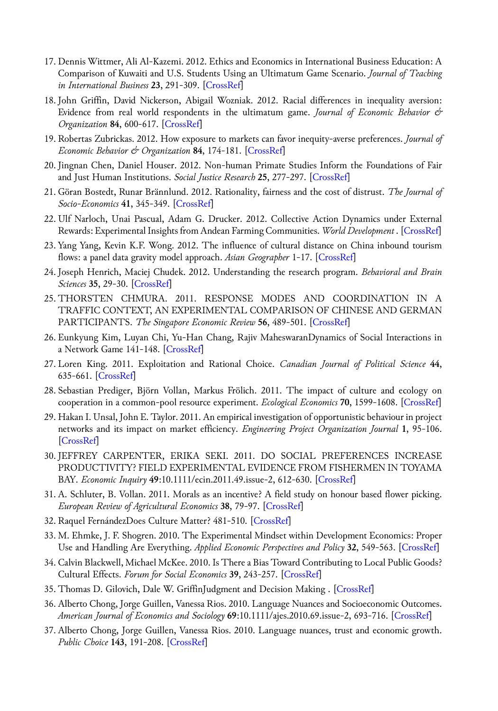- 17.Dennis Wittmer, Ali Al-Kazemi. 2012. Ethics and Economics in International Business Education: A Comparison of Kuwaiti and U.S. Students Using an Ultimatum Game Scenario. *Journal of Teaching in International Business* **23**, 291-309. [\[CrossRef](http://dx.doi.org/10.1080/08975930.2012.779914)]
- 18. John Griffin, David Nickerson, Abigail Wozniak. 2012. Racial differences in inequality aversion: Evidence from real world respondents in the ultimatum game. *Journal of Economic Behavior & Organization* **84**, 600-617. [[CrossRef\]](http://dx.doi.org/10.1016/j.jebo.2012.09.010)
- 19. Robertas Zubrickas. 2012. How exposure to markets can favor inequity-averse preferences. *Journal of Economic Behavior & Organization* **84**, 174-181. [[CrossRef\]](http://dx.doi.org/10.1016/j.jebo.2012.07.008)
- 20. Jingnan Chen, Daniel Houser. 2012. Non-human Primate Studies Inform the Foundations of Fair and Just Human Institutions. *Social Justice Research* **25**, 277-297. [\[CrossRef](http://dx.doi.org/10.1007/s11211-012-0162-y)]
- 21. Göran Bostedt, Runar Brännlund. 2012. Rationality, fairness and the cost of distrust. *The Journal of Socio-Economics* **41**, 345-349. [\[CrossRef](http://dx.doi.org/10.1016/j.socec.2012.04.001)]
- 22. Ulf Narloch, Unai Pascual, Adam G. Drucker. 2012. Collective Action Dynamics under External Rewards: Experimental Insights from Andean Farming Communities. *World Development* . [[CrossRef\]](http://dx.doi.org/10.1016/j.worlddev.2012.03.014)
- 23. Yang Yang, Kevin K.F. Wong. 2012. The influence of cultural distance on China inbound tourism flows: a panel data gravity model approach. *Asian Geographer* 1-17. [\[CrossRef](http://dx.doi.org/10.1080/10225706.2012.662314)]
- 24. Joseph Henrich, Maciej Chudek. 2012. Understanding the research program. *Behavioral and Brain Sciences* **35**, 29-30. [[CrossRef\]](http://dx.doi.org/10.1017/S0140525X11001397)
- 25. THORSTEN CHMURA. 2011. RESPONSE MODES AND COORDINATION IN A TRAFFIC CONTEXT, AN EXPERIMENTAL COMPARISON OF CHINESE AND GERMAN PARTICIPANTS. *The Singapore Economic Review* **56**, 489-501. [\[CrossRef](http://dx.doi.org/10.1142/S0217590811004390)]
- 26. Eunkyung Kim, Luyan Chi, Yu-Han Chang, Rajiv MaheswaranDynamics of Social Interactions in a Network Game 141-148. [\[CrossRef](http://dx.doi.org/10.1109/PASSAT/SocialCom.2011.131)]
- 27. Loren King. 2011. Exploitation and Rational Choice. *Canadian Journal of Political Science* **44**, 635-661. [\[CrossRef](http://dx.doi.org/10.1017/S0008423911000527)]
- 28. Sebastian Prediger, Björn Vollan, Markus Frölich. 2011. The impact of culture and ecology on cooperation in a common-pool resource experiment. *Ecological Economics* **70**, 1599-1608. [[CrossRef\]](http://dx.doi.org/10.1016/j.ecolecon.2010.08.017)
- 29. Hakan I. Unsal, John E. Taylor. 2011. An empirical investigation of opportunistic behaviour in project networks and its impact on market efficiency. *Engineering Project Organization Journal* **1**, 95-106. [\[CrossRef](http://dx.doi.org/10.1080/21573727.2011.569931)]
- 30. JEFFREY CARPENTER, ERIKA SEKI. 2011. DO SOCIAL PREFERENCES INCREASE PRODUCTIVITY? FIELD EXPERIMENTAL EVIDENCE FROM FISHERMEN IN TOYAMA BAY. *Economic Inquiry* **49**:10.1111/ecin.2011.49.issue-2, 612-630. [\[CrossRef](http://dx.doi.org/10.1111/j.1465-7295.2009.00268.x)]
- 31. A. Schluter, B. Vollan. 2011. Morals as an incentive? A field study on honour based flower picking. *European Review of Agricultural Economics* **38**, 79-97. [\[CrossRef](http://dx.doi.org/10.1093/erae/jbq045)]
- 32. Raquel FernándezDoes Culture Matter? 481-510. [[CrossRef\]](http://dx.doi.org/10.1016/B978-0-444-53187-2.00011-5)
- 33. M. Ehmke, J. F. Shogren. 2010. The Experimental Mindset within Development Economics: Proper Use and Handling Are Everything. *Applied Economic Perspectives and Policy* **32**, 549-563. [[CrossRef\]](http://dx.doi.org/10.1093/aepp/ppq025)
- 34. Calvin Blackwell, Michael McKee. 2010. Is There a Bias Toward Contributing to Local Public Goods? Cultural Effects. *Forum for Social Economics* **39**, 243-257. [\[CrossRef](http://dx.doi.org/10.1007/s12143-010-9073-6)]
- 35. Thomas D. Gilovich, Dale W. GriffinJudgment and Decision Making . [[CrossRef\]](http://dx.doi.org/10.1002/9780470561119.socpsy001015)
- 36. Alberto Chong, Jorge Guillen, Vanessa Rios. 2010. Language Nuances and Socioeconomic Outcomes. *American Journal of Economics and Sociology* **69**:10.1111/ajes.2010.69.issue-2, 693-716. [\[CrossRef](http://dx.doi.org/10.1111/j.1536-7150.2010.00715.x)]
- 37. Alberto Chong, Jorge Guillen, Vanessa Rios. 2010. Language nuances, trust and economic growth. *Public Choice* **143**, 191-208. [[CrossRef](http://dx.doi.org/10.1007/s11127-009-9497-9)]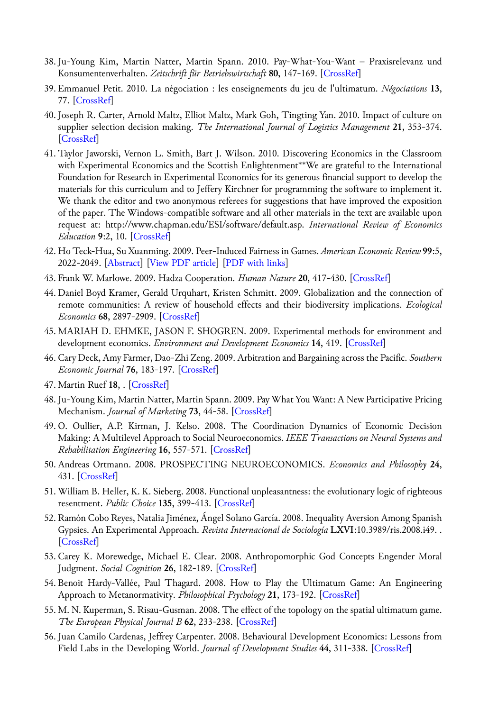- 38. Ju-Young Kim, Martin Natter, Martin Spann. 2010. Pay-What-You-Want Praxisrelevanz und Konsumentenverhalten. *Zeitschrift für Betriebswirtschaft* **80**, 147-169. [\[CrossRef](http://dx.doi.org/10.1007/s11573-009-0345-7)]
- 39. Emmanuel Petit. 2010. La négociation : les enseignements du jeu de l'ultimatum. *Négociations* **13**, 77. [[CrossRef\]](http://dx.doi.org/10.3917/neg.013.0077)
- 40. Joseph R. Carter, Arnold Maltz, Elliot Maltz, Mark Goh, Tingting Yan. 2010. Impact of culture on supplier selection decision making. *The International Journal of Logistics Management* **21**, 353-374. [\[CrossRef](http://dx.doi.org/10.1108/09574091011089790)]
- 41. Taylor Jaworski, Vernon L. Smith, Bart J. Wilson. 2010. Discovering Economics in the Classroom with Experimental Economics and the Scottish Enlightenment\*\*We are grateful to the International Foundation for Research in Experimental Economics for its generous financial support to develop the materials for this curriculum and to Jeffery Kirchner for programming the software to implement it. We thank the editor and two anonymous referees for suggestions that have improved the exposition of the paper. The Windows-compatible software and all other materials in the text are available upon request at: http://www.chapman.edu/ESI/software/default.asp. *International Review of Economics Education* **9**:2, 10. [[CrossRef\]](http://dx.doi.org/10.1016/S1477-3880(15)30053-0)
- 42. Ho Teck-Hua, Su Xuanming. 2009. Peer-Induced Fairness in Games. *American Economic Review* **99**:5, 2022-2049. [[Abstract\]](http://dx.doi.org/10.1257/aer.99.5.2022) [[View PDF article\]](http://pubs.aeaweb.org/doi/pdf/10.1257/aer.99.5.2022) [\[PDF with links\]](http://pubs.aeaweb.org/doi/pdfplus/10.1257/aer.99.5.2022)
- 43. Frank W. Marlowe. 2009. Hadza Cooperation. *Human Nature* **20**, 417-430. [\[CrossRef](http://dx.doi.org/10.1007/s12110-009-9072-6)]
- 44.Daniel Boyd Kramer, Gerald Urquhart, Kristen Schmitt. 2009. Globalization and the connection of remote communities: A review of household effects and their biodiversity implications. *Ecological Economics* **68**, 2897-2909. [\[CrossRef](http://dx.doi.org/10.1016/j.ecolecon.2009.06.026)]
- 45. MARIAH D. EHMKE, JASON F. SHOGREN. 2009. Experimental methods for environment and development economics. *Environment and Development Economics* **14**, 419. [\[CrossRef](http://dx.doi.org/10.1017/S1355770X08004592)]
- 46. Cary Deck, Amy Farmer, Dao-Zhi Zeng. 2009. Arbitration and Bargaining across the Pacific. *Southern Economic Journal* **76**, 183-197. [\[CrossRef](http://dx.doi.org/10.4284/sej.2009.76.1.183)]
- 47. Martin Ruef **18**, . [\[CrossRef](http://dx.doi.org/10.1108/S0277-2833(2009)0000018006)]
- 48. Ju-Young Kim, Martin Natter, Martin Spann. 2009. Pay What You Want: A New Participative Pricing Mechanism. *Journal of Marketing* **73**, 44-58. [\[CrossRef](http://dx.doi.org/10.1509/jmkg.73.1.44)]
- 49. O. Oullier, A.P. Kirman, J. Kelso. 2008. The Coordination Dynamics of Economic Decision Making: A Multilevel Approach to Social Neuroeconomics. *IEEE Transactions on Neural Systems and Rehabilitation Engineering* **16**, 557-571. [[CrossRef\]](http://dx.doi.org/10.1109/TNSRE.2008.2009960)
- 50. Andreas Ortmann. 2008. PROSPECTING NEUROECONOMICS. *Economics and Philosophy* **24**, 431. [\[CrossRef](http://dx.doi.org/10.1017/S026626710800206X)]
- 51. William B. Heller, K. K. Sieberg. 2008. Functional unpleasantness: the evolutionary logic of righteous resentment. *Public Choice* **135**, 399-413. [\[CrossRef](http://dx.doi.org/10.1007/s11127-007-9269-3)]
- 52. Ramón Cobo Reyes, Natalia Jiménez, Ángel Solano García. 2008. Inequality Aversion Among Spanish Gypsies. An Experimental Approach. *Revista Internacional de Sociología* **LXVI**:10.3989/ris.2008.i49. . [\[CrossRef](http://dx.doi.org/10.3989/ris.2008.i49.82)]
- 53. Carey K. Morewedge, Michael E. Clear. 2008. Anthropomorphic God Concepts Engender Moral Judgment. *Social Cognition* **26**, 182-189. [\[CrossRef\]](http://dx.doi.org/10.1521/soco.2008.26.2.182)
- 54. Benoit Hardy-Vallée, Paul Thagard. 2008. How to Play the Ultimatum Game: An Engineering Approach to Metanormativity. *Philosophical Psychology* **21**, 173-192. [\[CrossRef](http://dx.doi.org/10.1080/09515080801976581)]
- 55. M. N. Kuperman, S. Risau-Gusman. 2008. The effect of the topology on the spatial ultimatum game. *The European Physical Journal B* **62**, 233-238. [[CrossRef](http://dx.doi.org/10.1140/epjb/e2008-00133-x)]
- 56. Juan Camilo Cardenas, Jeffrey Carpenter. 2008. Behavioural Development Economics: Lessons from Field Labs in the Developing World. *Journal of Development Studies* **44**, 311-338. [[CrossRef\]](http://dx.doi.org/10.1080/00220380701848327)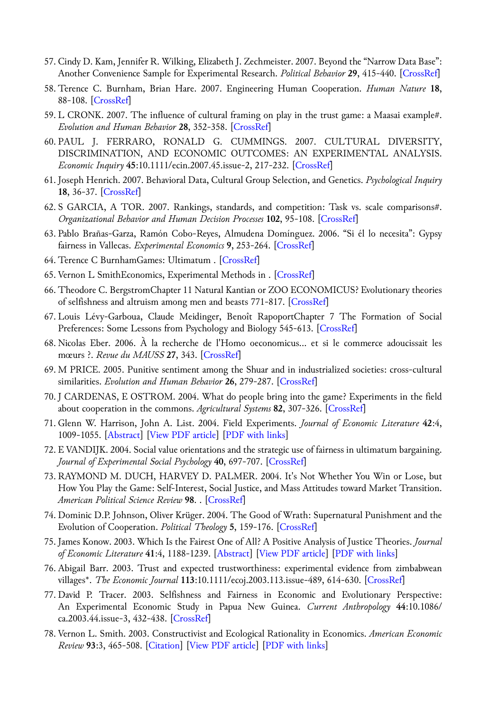- 57. Cindy D. Kam, Jennifer R. Wilking, Elizabeth J. Zechmeister. 2007. Beyond the "Narrow Data Base": Another Convenience Sample for Experimental Research. *Political Behavior* **29**, 415-440. [[CrossRef\]](http://dx.doi.org/10.1007/s11109-007-9037-6)
- 58. Terence C. Burnham, Brian Hare. 2007. Engineering Human Cooperation. *Human Nature* **18**, 88-108. [[CrossRef\]](http://dx.doi.org/10.1007/s12110-007-9012-2)
- 59. L CRONK. 2007. The influence of cultural framing on play in the trust game: a Maasai example☆. *Evolution and Human Behavior* **28**, 352-358. [\[CrossRef](http://dx.doi.org/10.1016/j.evolhumbehav.2007.05.006)]
- 60. PAUL J. FERRARO, RONALD G. CUMMINGS. 2007. CULTURAL DIVERSITY, DISCRIMINATION, AND ECONOMIC OUTCOMES: AN EXPERIMENTAL ANALYSIS. *Economic Inquiry* **45**:10.1111/ecin.2007.45.issue-2, 217-232. [[CrossRef\]](http://dx.doi.org/10.1111/j.1465-7295.2006.00013.x)
- 61. Joseph Henrich. 2007. Behavioral Data, Cultural Group Selection, and Genetics. *Psychological Inquiry* **18**, 36-37. [[CrossRef\]](http://dx.doi.org/10.1080/10478400701389185)
- 62. S GARCIA, A TOR. 2007. Rankings, standards, and competition: Task vs. scale comparisons#. *Organizational Behavior and Human Decision Processes* **102**, 95-108. [[CrossRef\]](http://dx.doi.org/10.1016/j.obhdp.2006.10.004)
- 63. Pablo Brañas-Garza, Ramón Cobo-Reyes, Almudena Domínguez. 2006. "Si él lo necesita": Gypsy fairness in Vallecas. *Experimental Economics* **9**, 253-264. [\[CrossRef](http://dx.doi.org/10.1007/s10683-006-9126-0)]
- 64. Terence C BurnhamGames: Ultimatum . [[CrossRef\]](http://dx.doi.org/10.1002/0470018860.s00692)
- 65. Vernon L SmithEconomics, Experimental Methods in . [\[CrossRef](http://dx.doi.org/10.1002/0470018860.s00714)]
- 66. Theodore C. BergstromChapter 11 Natural Kantian or ZOO ECONOMICUS? Evolutionary theories of selfishness and altruism among men and beasts 771-817. [[CrossRef\]](http://dx.doi.org/10.1016/S1574-0714(06)01011-6)
- 67. Louis Lévy-Garboua, Claude Meidinger, Benoît RapoportChapter 7 The Formation of Social Preferences: Some Lessons from Psychology and Biology 545-613. [[CrossRef\]](http://dx.doi.org/10.1016/S1574-0714(06)01007-4)
- 68. Nicolas Eber. 2006. À la recherche de l'Homo oeconomicus... et si le commerce adoucissait les mœurs ?. *Revue du MAUSS* **27**, 343. [[CrossRef\]](http://dx.doi.org/10.3917/rdm.027.0343)
- 69. M PRICE. 2005. Punitive sentiment among the Shuar and in industrialized societies: cross-cultural similarities. *Evolution and Human Behavior* **26**, 279-287. [\[CrossRef](http://dx.doi.org/10.1016/j.evolhumbehav.2004.08.009)]
- 70. J CARDENAS, E OSTROM. 2004. What do people bring into the game? Experiments in the field about cooperation in the commons. *Agricultural Systems* **82**, 307-326. [\[CrossRef](http://dx.doi.org/10.1016/j.agsy.2004.07.008)]
- 71. Glenn W. Harrison, John A. List. 2004. Field Experiments. *Journal of Economic Literature* **42**:4, 1009-1055. [[Abstract\]](http://dx.doi.org/10.1257/0022051043004577) [[View PDF article\]](http://pubs.aeaweb.org/doi/pdf/10.1257/0022051043004577) [\[PDF with links\]](http://pubs.aeaweb.org/doi/pdfplus/10.1257/0022051043004577)
- 72. E VANDIJK. 2004. Social value orientations and the strategic use of fairness in ultimatum bargaining. *Journal of Experimental Social Psychology* **40**, 697-707. [\[CrossRef](http://dx.doi.org/10.1016/j.jesp.2004.03.002)]
- 73. RAYMOND M. DUCH, HARVEY D. PALMER. 2004. It's Not Whether You Win or Lose, but How You Play the Game: Self-Interest, Social Justice, and Mass Attitudes toward Market Transition. *American Political Science Review* **98**. . [[CrossRef\]](http://dx.doi.org/10.1017/S0003055404001261)
- 74.Dominic D.P. Johnson, Oliver Krüger. 2004. The Good of Wrath: Supernatural Punishment and the Evolution of Cooperation. *Political Theology* **5**, 159-176. [\[CrossRef](http://dx.doi.org/10.1558/poth.2004.5.2.159)]
- 75. James Konow. 2003. Which Is the Fairest One of All? A Positive Analysis of Justice Theories. *Journal of Economic Literature* **41**:4, 1188-1239. [[Abstract\]](http://dx.doi.org/10.1257/002205103771800013) [\[View PDF article](http://pubs.aeaweb.org/doi/pdf/10.1257/002205103771800013)] [\[PDF with links\]](http://pubs.aeaweb.org/doi/pdfplus/10.1257/002205103771800013)
- 76. Abigail Barr. 2003. Trust and expected trustworthiness: experimental evidence from zimbabwean villages\*. *The Economic Journal* **113**:10.1111/ecoj.2003.113.issue-489, 614-630. [[CrossRef\]](http://dx.doi.org/10.1111/1468-0297.t01-1-00150)
- 77.David P. Tracer. 2003. Selfishness and Fairness in Economic and Evolutionary Perspective: An Experimental Economic Study in Papua New Guinea. *Current Anthropology* **44**:10.1086/ ca.2003.44.issue-3, 432-438. [\[CrossRef](http://dx.doi.org/10.1086/374904)]
- 78. Vernon L. Smith. 2003. Constructivist and Ecological Rationality in Economics. *American Economic Review* **93**:3, 465-508. [\[Citation](http://dx.doi.org/10.1257/000282803322156954)] [[View PDF article\]](http://pubs.aeaweb.org/doi/pdf/10.1257/000282803322156954) [[PDF with links](http://pubs.aeaweb.org/doi/pdfplus/10.1257/000282803322156954)]